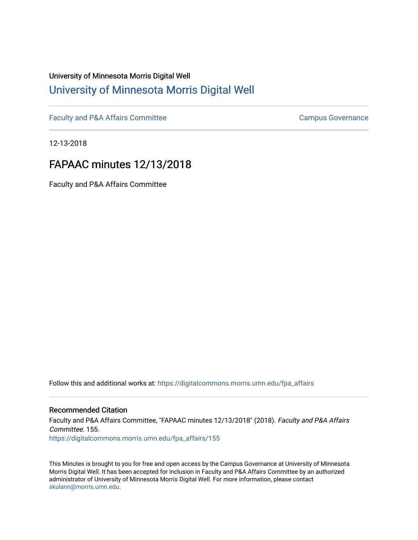# University of Minnesota Morris Digital Well [University of Minnesota Morris Digital Well](https://digitalcommons.morris.umn.edu/)

[Faculty and P&A Affairs Committee](https://digitalcommons.morris.umn.edu/fpa_affairs) [Campus Governance](https://digitalcommons.morris.umn.edu/campgov) Campus Governance

12-13-2018

# FAPAAC minutes 12/13/2018

Faculty and P&A Affairs Committee

Follow this and additional works at: [https://digitalcommons.morris.umn.edu/fpa\\_affairs](https://digitalcommons.morris.umn.edu/fpa_affairs?utm_source=digitalcommons.morris.umn.edu%2Ffpa_affairs%2F155&utm_medium=PDF&utm_campaign=PDFCoverPages)

## Recommended Citation

Faculty and P&A Affairs Committee, "FAPAAC minutes 12/13/2018" (2018). Faculty and P&A Affairs Committee. 155. [https://digitalcommons.morris.umn.edu/fpa\\_affairs/155](https://digitalcommons.morris.umn.edu/fpa_affairs/155?utm_source=digitalcommons.morris.umn.edu%2Ffpa_affairs%2F155&utm_medium=PDF&utm_campaign=PDFCoverPages)

This Minutes is brought to you for free and open access by the Campus Governance at University of Minnesota Morris Digital Well. It has been accepted for inclusion in Faculty and P&A Affairs Committee by an authorized administrator of University of Minnesota Morris Digital Well. For more information, please contact [skulann@morris.umn.edu.](mailto:skulann@morris.umn.edu)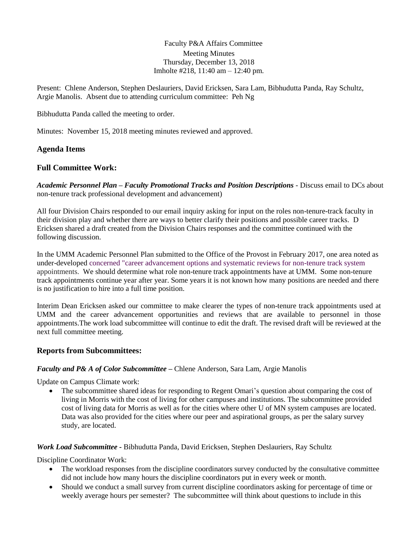Faculty P&A Affairs Committee Meeting Minutes Thursday, December 13, 2018 Imholte #218, 11:40 am – 12:40 pm.

Present: Chlene Anderson, Stephen Deslauriers, David Ericksen, Sara Lam, Bibhudutta Panda, Ray Schultz, Argie Manolis. Absent due to attending curriculum committee: Peh Ng

Bibhudutta Panda called the meeting to order.

Minutes: November 15, 2018 meeting minutes reviewed and approved.

## **Agenda Items**

## **Full Committee Work:**

*Academic Personnel Plan – Faculty Promotional Tracks and Position Descriptions -* Discuss email to DCs about non-tenure track professional development and advancement)

All four Division Chairs responded to our email inquiry asking for input on the roles non-tenure-track faculty in their division play and whether there are ways to better clarify their positions and possible career tracks. D Ericksen shared a draft created from the Division Chairs responses and the committee continued with the following discussion.

In the UMM Academic Personnel Plan submitted to the Office of the Provost in February 2017, one area noted as under-developed concerned "career advancement options and systematic reviews for non-tenure track system appointments. We should determine what role non-tenure track appointments have at UMM. Some non-tenure track appointments continue year after year. Some years it is not known how many positions are needed and there is no justification to hire into a full time position.

Interim Dean Ericksen asked our committee to make clearer the types of non-tenure track appointments used at UMM and the career advancement opportunities and reviews that are available to personnel in those appointments.The work load subcommittee will continue to edit the draft. The revised draft will be reviewed at the next full committee meeting.

#### **Reports from Subcommittees:**

#### *Faculty and P& A of Color Subcommittee* **–** Chlene Anderson, Sara Lam, Argie Manolis

Update on Campus Climate work:

 The subcommittee shared ideas for responding to Regent Omari's question about comparing the cost of living in Morris with the cost of living for other campuses and institutions. The subcommittee provided cost of living data for Morris as well as for the cities where other U of MN system campuses are located. Data was also provided for the cities where our peer and aspirational groups, as per the salary survey study, are located.

*Work Load Subcommittee* **-** Bibhudutta Panda, David Ericksen, Stephen Deslauriers, Ray Schultz

Discipline Coordinator Work:

- The workload responses from the discipline coordinators survey conducted by the consultative committee did not include how many hours the discipline coordinators put in every week or month.
- Should we conduct a small survey from current discipline coordinators asking for percentage of time or weekly average hours per semester? The subcommittee will think about questions to include in this